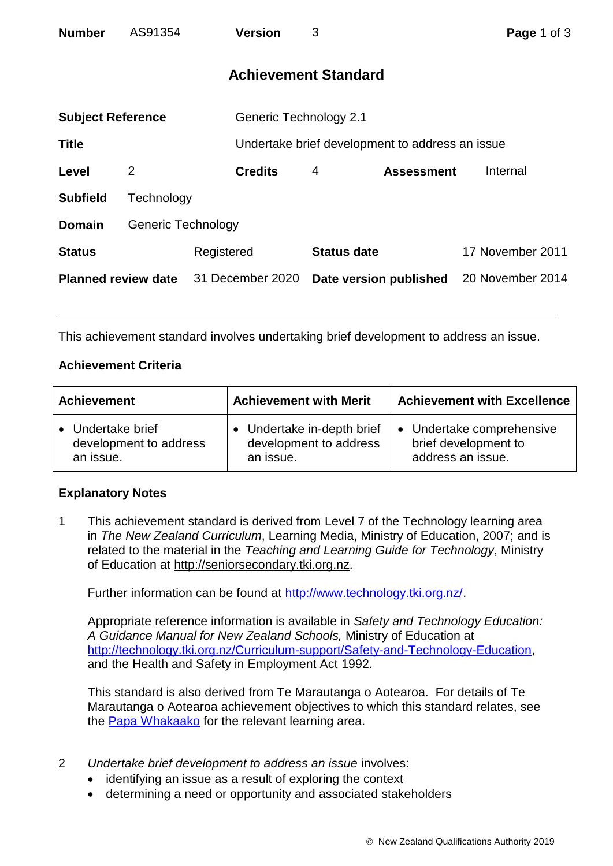| <b>Number</b>              | AS91354                   |                  | <b>Version</b>                | 3                           |                                                 | Page 1 of 3      |  |
|----------------------------|---------------------------|------------------|-------------------------------|-----------------------------|-------------------------------------------------|------------------|--|
|                            |                           |                  |                               | <b>Achievement Standard</b> |                                                 |                  |  |
| <b>Subject Reference</b>   |                           |                  | <b>Generic Technology 2.1</b> |                             |                                                 |                  |  |
| <b>Title</b>               |                           |                  |                               |                             | Undertake brief development to address an issue |                  |  |
| Level                      | $\overline{2}$            |                  | <b>Credits</b>                | 4                           | <b>Assessment</b>                               | Internal         |  |
| <b>Subfield</b>            | Technology                |                  |                               |                             |                                                 |                  |  |
| <b>Domain</b>              | <b>Generic Technology</b> |                  |                               |                             |                                                 |                  |  |
| <b>Status</b>              |                           | Registered       |                               | <b>Status date</b>          |                                                 | 17 November 2011 |  |
| <b>Planned review date</b> |                           | 31 December 2020 |                               | Date version published      |                                                 | 20 November 2014 |  |

This achievement standard involves undertaking brief development to address an issue.

## **Achievement Criteria**

| <b>Achievement</b>     | <b>Achievement with Merit</b> | <b>Achievement with Excellence</b> |  |
|------------------------|-------------------------------|------------------------------------|--|
| • Undertake brief      | • Undertake in-depth brief    | • Undertake comprehensive          |  |
| development to address | development to address        | brief development to               |  |
| an issue.              | an issue.                     | address an issue.                  |  |

## **Explanatory Notes**

1 This achievement standard is derived from Level 7 of the Technology learning area in *The New Zealand Curriculum*, Learning Media, Ministry of Education, 2007; and is related to the material in the *Teaching and Learning Guide for Technology*, Ministry of Education at [http://seniorsecondary.tki.org.nz.](http://seniorsecondary.tki.org.nz/)

Further information can be found at [http://www.technology.tki.org.nz/.](http://www.technology.tki.org.nz/)

Appropriate reference information is available in *Safety and Technology Education: A Guidance Manual for New Zealand Schools,* Ministry of Education at [http://technology.tki.org.nz/Curriculum-support/Safety-and-Technology-Education,](http://technology.tki.org.nz/Curriculum-support/Safety-and-Technology-Education) and the Health and Safety in Employment Act 1992.

This standard is also derived from Te Marautanga o Aotearoa. For details of Te Marautanga o Aotearoa achievement objectives to which this standard relates, see the [Papa Whakaako](http://tmoa.tki.org.nz/Te-Marautanga-o-Aotearoa/Taumata-Matauranga-a-Motu-Ka-Taea) for the relevant learning area.

- 2 *Undertake brief development to address an issue* involves:
	- identifying an issue as a result of exploring the context
	- determining a need or opportunity and associated stakeholders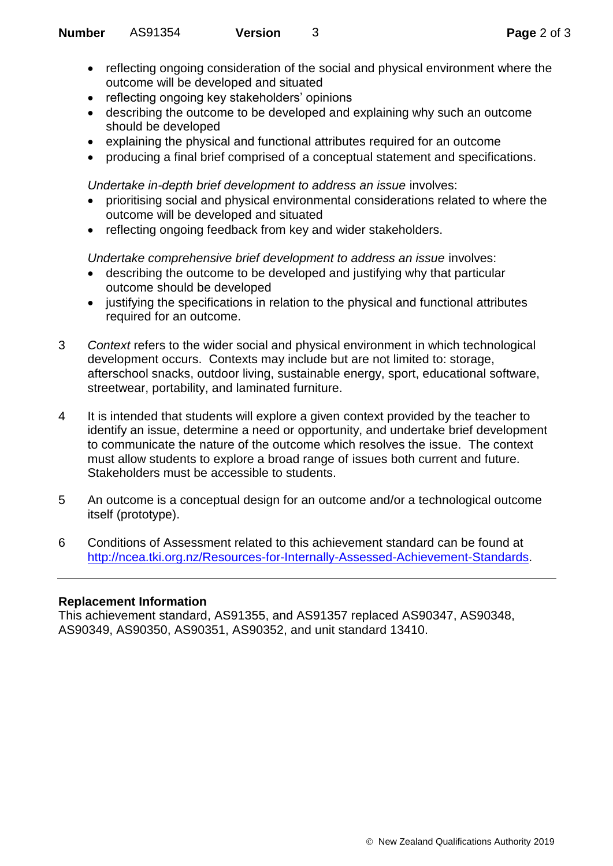- reflecting ongoing consideration of the social and physical environment where the outcome will be developed and situated
- reflecting ongoing key stakeholders' opinions
- describing the outcome to be developed and explaining why such an outcome should be developed
- explaining the physical and functional attributes required for an outcome
- producing a final brief comprised of a conceptual statement and specifications.

*Undertake in-depth brief development to address an issue involves:* 

- prioritising social and physical environmental considerations related to where the outcome will be developed and situated
- reflecting ongoing feedback from key and wider stakeholders.

*Undertake comprehensive brief development to address an issue involves:* 

- describing the outcome to be developed and justifying why that particular outcome should be developed
- justifying the specifications in relation to the physical and functional attributes required for an outcome.
- 3 *Context* refers to the wider social and physical environment in which technological development occurs. Contexts may include but are not limited to: storage, afterschool snacks, outdoor living, sustainable energy, sport, educational software, streetwear, portability, and laminated furniture.
- 4 It is intended that students will explore a given context provided by the teacher to identify an issue, determine a need or opportunity, and undertake brief development to communicate the nature of the outcome which resolves the issue. The context must allow students to explore a broad range of issues both current and future. Stakeholders must be accessible to students.
- 5 An outcome is a conceptual design for an outcome and/or a technological outcome itself (prototype).
- 6 Conditions of Assessment related to this achievement standard can be found at [http://ncea.tki.org.nz/Resources-for-Internally-Assessed-Achievement-Standards.](http://ncea.tki.org.nz/Resources-for-Internally-Assessed-Achievement-Standards)

## **Replacement Information**

This achievement standard, AS91355, and AS91357 replaced AS90347, AS90348, AS90349, AS90350, AS90351, AS90352, and unit standard 13410.